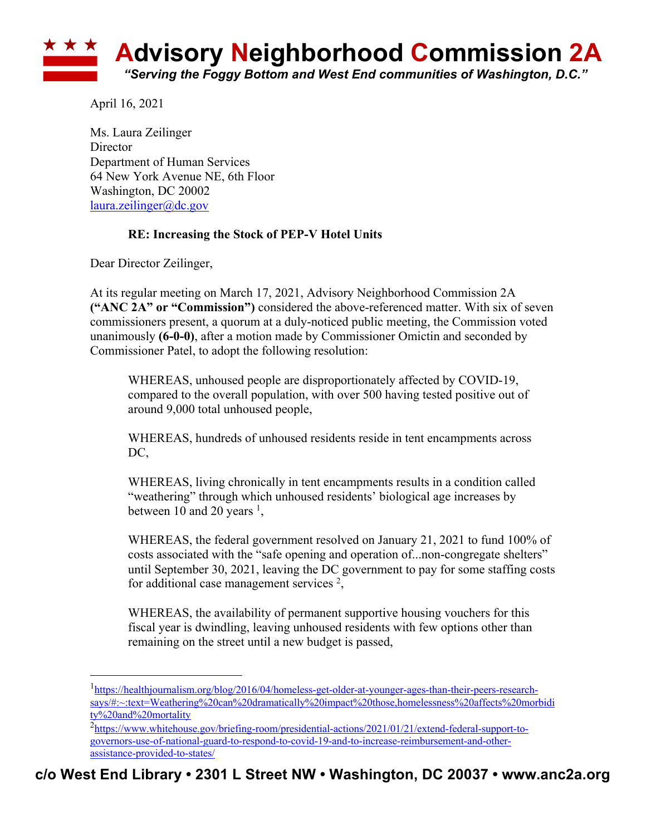

April 16, 2021

Ms. Laura Zeilinger **Director** Department of Human Services 64 New York Avenue NE, 6th Floor Washington, DC 20002 laura.zeilinger@dc.gov

## **RE: Increasing the Stock of PEP-V Hotel Units**

Dear Director Zeilinger,

At its regular meeting on March 17, 2021, Advisory Neighborhood Commission 2A **("ANC 2A" or "Commission")** considered the above-referenced matter. With six of seven commissioners present, a quorum at a duly-noticed public meeting, the Commission voted unanimously **(6-0-0)**, after a motion made by Commissioner Omictin and seconded by Commissioner Patel, to adopt the following resolution:

WHEREAS, unhoused people are disproportionately affected by COVID-19, compared to the overall population, with over 500 having tested positive out of around 9,000 total unhoused people,

WHEREAS, hundreds of unhoused residents reside in tent encampments across DC,

WHEREAS, living chronically in tent encampments results in a condition called "weathering" through which unhoused residents' biological age increases by between 10 and 20 years  $\frac{1}{2}$ ,

WHEREAS, the federal government resolved on January 21, 2021 to fund 100% of costs associated with the "safe opening and operation of...non-congregate shelters" until September 30, 2021, leaving the DC government to pay for some staffing costs for additional case management services  $2$ ,

WHEREAS, the availability of permanent supportive housing vouchers for this fiscal year is dwindling, leaving unhoused residents with few options other than remaining on the street until a new budget is passed,

<sup>1</sup>https://healthjournalism.org/blog/2016/04/homeless-get-older-at-younger-ages-than-their-peers-researchsays/#:~:text=Weathering%20can%20dramatically%20impact%20those,homelessness%20affects%20morbidi ty%20and%20mortality

<sup>&</sup>lt;sup>2</sup>https://www.whitehouse.gov/briefing-room/presidential-actions/2021/01/21/extend-federal-support-togovernors-use-of-national-guard-to-respond-to-covid-19-and-to-increase-reimbursement-and-otherassistance-provided-to-states/